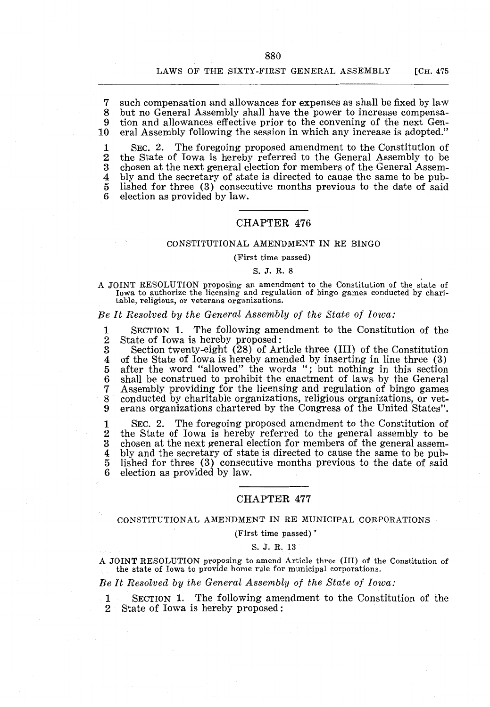#### LAWS OF THE SIXTY-FIRST GENERAL ASSEMBLY [CH. 475

7 such compensation and allowances for expenses as shall be fixed by law 8 but no General Assembly shall have the power to increase compensa-<br>9 tion and allowances effective prior to the convening of the next Gen-9 tion and allowances effective prior to the convening of the next Gen-<br>10 eral Assembly following the session in which any increase is adopted." eral Assembly following the session in which any increase is adopted."

1 SEC. 2. The foregoing proposed amendment to the Constitution of 2 the State of Iowa is hereby referred to the General Assembly to be<br>3 chosen at the next general election for members of the General Assem-3 chosen at the next general election for members of the General Assem-<br>4 bly and the secretary of state is directed to cause the same to be pub-4 bly and the secretary of state is directed to cause the same to be pub-<br>5 lished for three (3) consecutive months previous to the date of said 5 lished for three  $(3)$  consecutive months previous to the date of said 6 election as provided by law. election as provided by law.

# CHAPTER 476

## CONSTITUTIONAL AMENDMENT IN RE BINGO

#### (First time passed)

#### S. J. R. 8

A JOINT RESOLUTION proposing an amendment to the Constitution of the state of Iowa to authorize the licensing and regulation of bingo games conducted by charitable, religious, or veterans organizations.

*Be It Resolved by the General Assembly of the State of Iowa:* 

1 SECTION 1. The following amendment to the Constitution of the 2 State of Iowa is hereby proposed: 2 State of Iowa is hereby proposed:<br>3 Section twenty-eight (28) of Ar

3 Section twenty-eight (28) of Article three (III) of the Constitution 4 of the State of Iowa is hereby amended by inserting in line three (3) 5 after the word "allowed" the words "; but nothing in this section 5 after the word "allowed" the words "; but nothing in this section 6 shall be construed to prohibit the enactment of laws by the General 7 Assembly providing for the licensing and regulation of bingo games 7 Assembly providing for the licensing and regulation of bingo games<br>8 conducted by charitable organizations, religious organizations, or vet-8 conducted by charitable organizations, religious organizations, or vet-<br>9 erans organizations chartered by the Congress of the United States". erans organizations chartered by the Congress of the United States".

1 SEC. 2. The foregoing proposed amendment to the Constitution of 2 the State of Iowa is hereby referred to the general assembly to be 3 chosen at the next general election for members of the general assem-3 chosen at the next general election for members of the general assem-<br>4 bly and the secretary of state is directed to cause the same to be pub-4 bly and the secretary of state is directed to cause the same to be pub-<br>5 lished for three (3) consecutive months previous to the date of said lished for three (3) consecutive months previous to the date of said election as provided by law.

# CHAPTER 477

### CONSTITUTIONAL AMENDMENT IN RE MUNICIPAL CORPORATIONS

(First time passed) •

#### S. J. R. 13

A JOINT RESOLUTION proposing to amend Article three (III) of the Constitution of the state of Iowa to provide home rule for municipal corporations.

### *Be It Resolved by the General Assembly of the State of Iowa:*

1 SECTION 1. The following amendment to the Constitution of the 2 State of Iowa is hereby proposed :